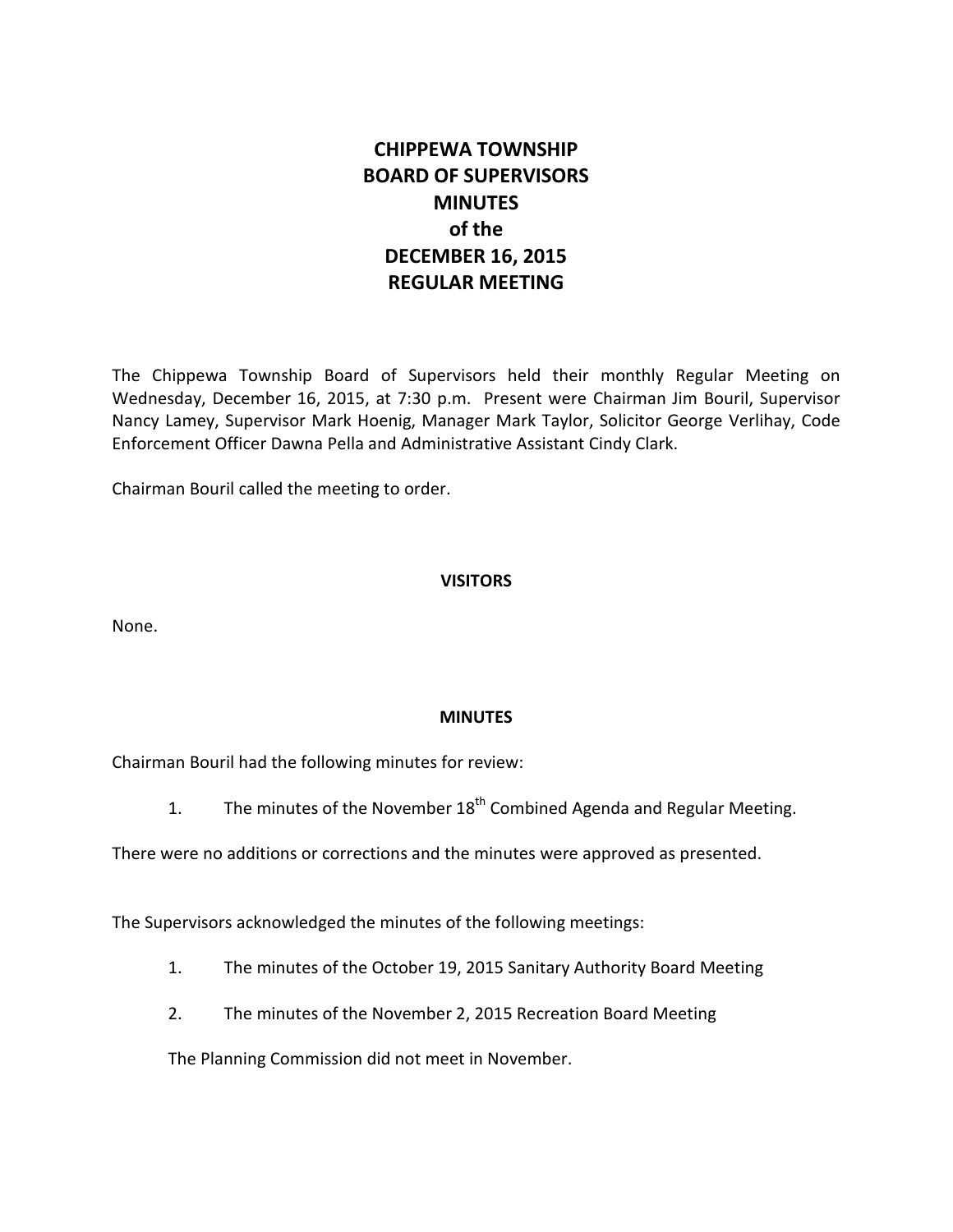# **CHIPPEWA TOWNSHIP BOARD OF SUPERVISORS MINUTES of the DECEMBER 16, 2015 REGULAR MEETING**

The Chippewa Township Board of Supervisors held their monthly Regular Meeting on Wednesday, December 16, 2015, at 7:30 p.m. Present were Chairman Jim Bouril, Supervisor Nancy Lamey, Supervisor Mark Hoenig, Manager Mark Taylor, Solicitor George Verlihay, Code Enforcement Officer Dawna Pella and Administrative Assistant Cindy Clark.

Chairman Bouril called the meeting to order.

# **VISITORS**

None.

## **MINUTES**

Chairman Bouril had the following minutes for review:

1. The minutes of the November  $18<sup>th</sup>$  Combined Agenda and Regular Meeting.

There were no additions or corrections and the minutes were approved as presented.

The Supervisors acknowledged the minutes of the following meetings:

- 1. The minutes of the October 19, 2015 Sanitary Authority Board Meeting
- 2. The minutes of the November 2, 2015 Recreation Board Meeting

The Planning Commission did not meet in November.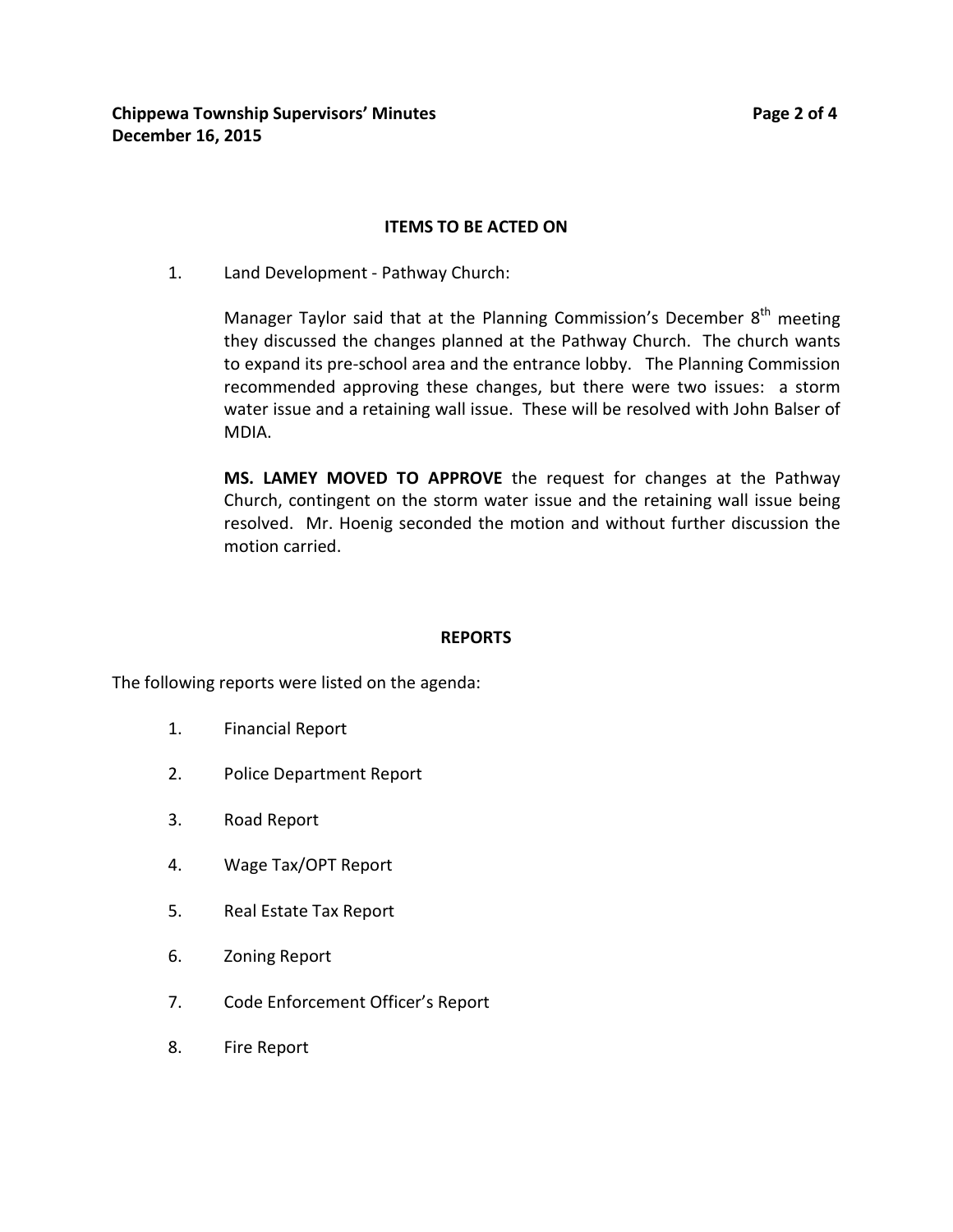## **ITEMS TO BE ACTED ON**

1. Land Development - Pathway Church:

Manager Taylor said that at the Planning Commission's December  $8<sup>th</sup>$  meeting they discussed the changes planned at the Pathway Church. The church wants to expand its pre-school area and the entrance lobby. The Planning Commission recommended approving these changes, but there were two issues: a storm water issue and a retaining wall issue. These will be resolved with John Balser of MDIA.

**MS. LAMEY MOVED TO APPROVE** the request for changes at the Pathway Church, contingent on the storm water issue and the retaining wall issue being resolved. Mr. Hoenig seconded the motion and without further discussion the motion carried.

## **REPORTS**

The following reports were listed on the agenda:

- 1. Financial Report
- 2. Police Department Report
- 3. Road Report
- 4. Wage Tax/OPT Report
- 5. Real Estate Tax Report
- 6. Zoning Report
- 7. Code Enforcement Officer's Report
- 8. Fire Report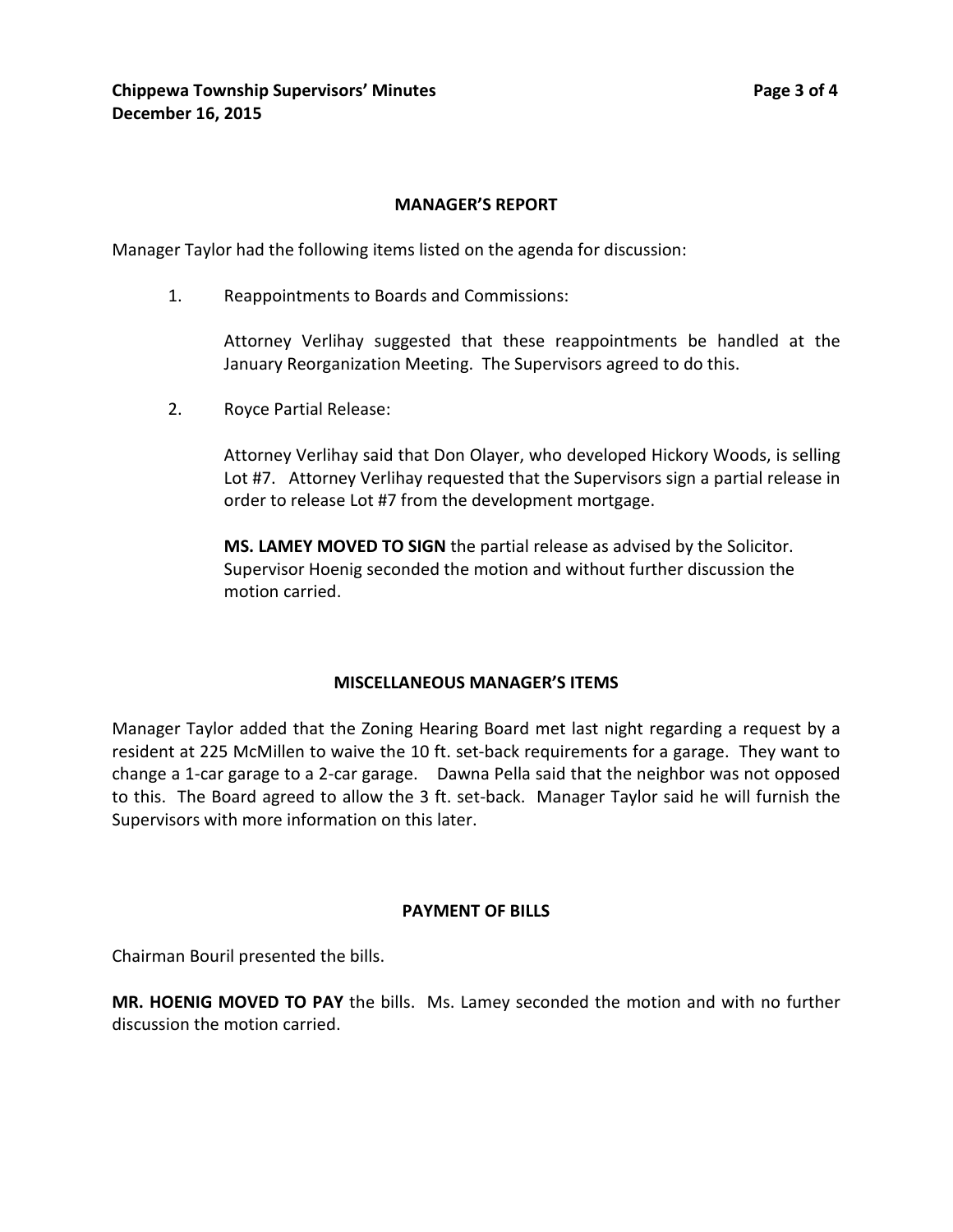## **MANAGER'S REPORT**

Manager Taylor had the following items listed on the agenda for discussion:

1. Reappointments to Boards and Commissions:

Attorney Verlihay suggested that these reappointments be handled at the January Reorganization Meeting. The Supervisors agreed to do this.

2. Royce Partial Release:

Attorney Verlihay said that Don Olayer, who developed Hickory Woods, is selling Lot #7. Attorney Verlihay requested that the Supervisors sign a partial release in order to release Lot #7 from the development mortgage.

**MS. LAMEY MOVED TO SIGN** the partial release as advised by the Solicitor. Supervisor Hoenig seconded the motion and without further discussion the motion carried.

#### **MISCELLANEOUS MANAGER'S ITEMS**

Manager Taylor added that the Zoning Hearing Board met last night regarding a request by a resident at 225 McMillen to waive the 10 ft. set-back requirements for a garage. They want to change a 1-car garage to a 2-car garage. Dawna Pella said that the neighbor was not opposed to this. The Board agreed to allow the 3 ft. set-back. Manager Taylor said he will furnish the Supervisors with more information on this later.

## **PAYMENT OF BILLS**

Chairman Bouril presented the bills.

**MR. HOENIG MOVED TO PAY** the bills. Ms. Lamey seconded the motion and with no further discussion the motion carried.